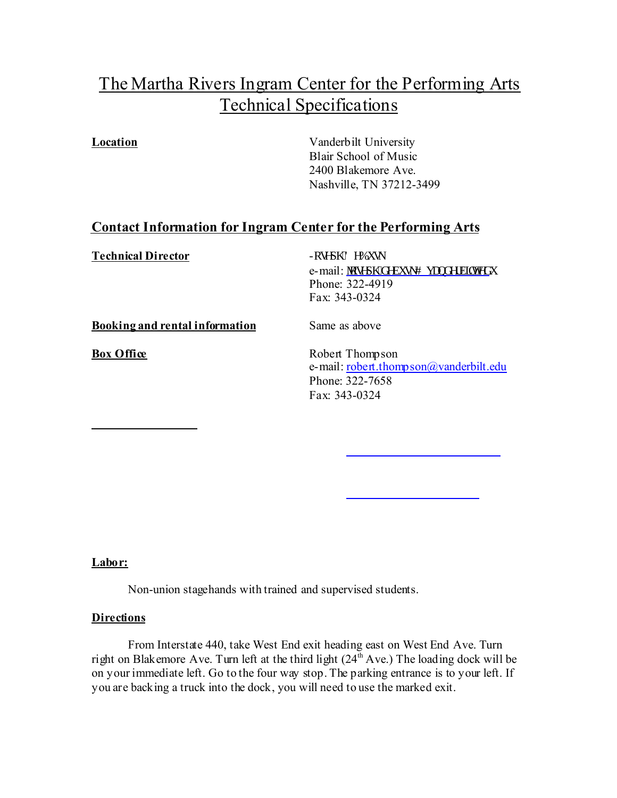# The Martha Rivers Ingram Center for the Performing Arts Technical Specifications

**Location** Vanderbilt University Blair School of Music 2400 Blakemore Ave. Nashville, TN 37212-3499

# **Contact Information for Ingram Center for the Performing Arts**

**Technical Director** -RVHSK'H%XVN

e-mail: laugr i Cf gdwunB xcpf gtdknOgf w Phone: 322-4919 Fax: 343-0324

**Booking and rental information** Same as above

**Box Office** Robert Thompson e-mail: robert.thompson@vanderbilt.edu Phone: 322-7658 Fax: 343-0324

# **Labor:**

Non-union stagehands with trained and supervised students.

### **Directions**

From Interstate 440, take West End exit heading east on West End Ave. Turn right on Blakemore Ave. Turn left at the third light  $(24<sup>th</sup> Ave.)$  The loading dock will be on your immediate left. Go to the four way stop. The parking entrance is to your left. If you are backing a truck into the dock, you will need to use the marked exit.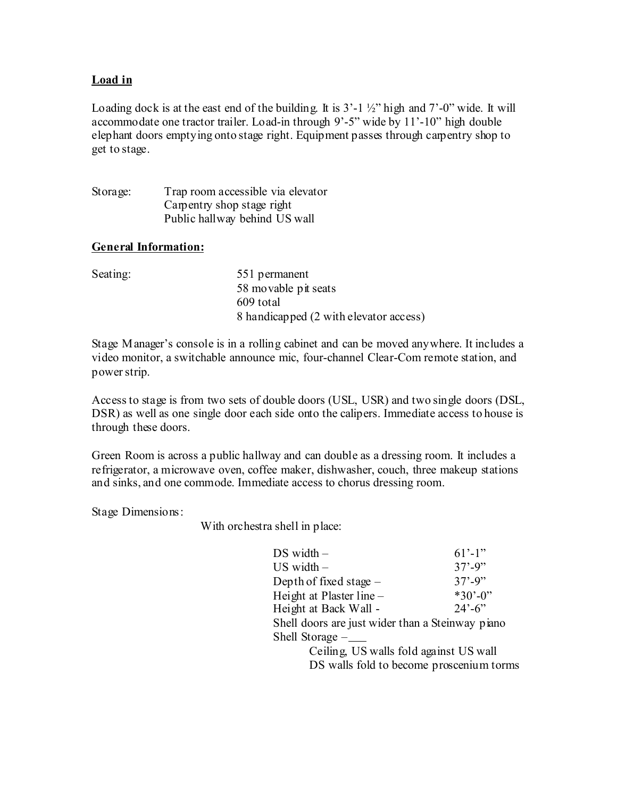# **Load in**

Loading dock is at the east end of the building. It is  $3'-1\frac{1}{2}$ " high and  $7'-0$ " wide. It will accommodate one tractor trailer. Load-in through 9'-5" wide by 11'-10" high double elephant doors emptying onto stage right. Equipment passes through carpentry shop to get to stage.

Storage: Trap room accessible via elevator Carpentry shop stage right Public hallway behind US wall

# **General Information:**

| Seating: | 551 permanent                          |
|----------|----------------------------------------|
|          | 58 movable pit seats<br>609 total      |
|          | 8 handicapped (2 with elevator access) |

Stage Manager's console is in a rolling cabinet and can be moved anywhere. It includes a video monitor, a switchable announce mic, four-channel Clear-Com remote station, and power strip.

Access to stage is from two sets of double doors (USL, USR) and two single doors (DSL, DSR) as well as one single door each side onto the calipers. Immediate access to house is through these doors.

Green Room is across a public hallway and can double as a dressing room. It includes a refrigerator, a microwave oven, coffee maker, dishwasher, couch, three makeup stations and sinks, and one commode. Immediate access to chorus dressing room.

Stage Dimensions:

With orchestra shell in place:

| DS width –                                       | $61'$ -1"                |
|--------------------------------------------------|--------------------------|
| $US$ width $-$                                   | $37' - 9''$              |
| Depth of fixed stage $-$                         | $37' - 9''$              |
| Height at Plaster line -                         | $*30' - 0$ "             |
| Height at Back Wall -                            | $24^{\circ} - 6^{\circ}$ |
| Shell doors are just wider than a Steinway piano |                          |
| Shell Storage $-\underline{\phantom{A}}$         |                          |
| 11 $0.11$ $1.170$<br>$\sim$ 11 $\sim$ 110        |                          |

Ceiling, US walls fold against US wall DS walls fold to become proscenium torms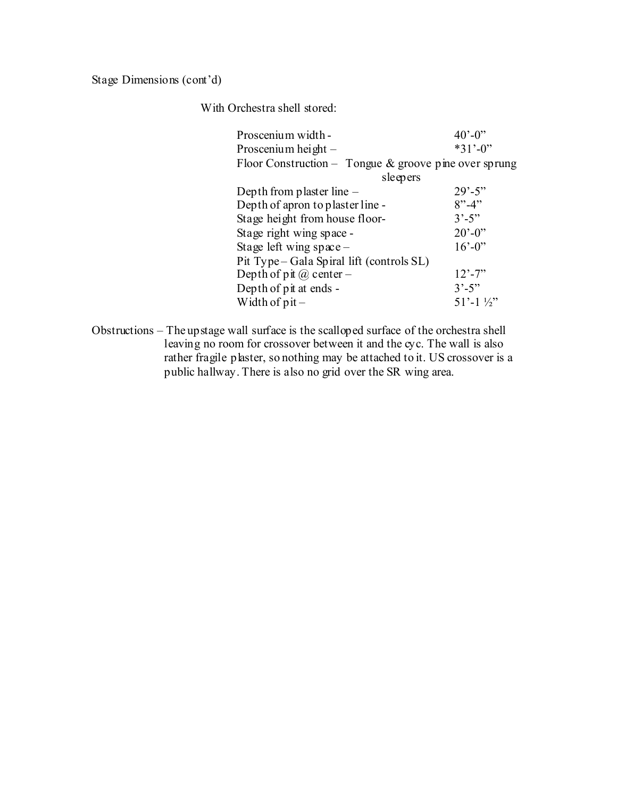Stage Dimensions (cont'd)

With Orchestra shell stored:

| Proscenium width -                                       | $40^{\circ} - 0^{\circ}$ |
|----------------------------------------------------------|--------------------------|
| Proscenium height $-$                                    | $*31' - 0"$              |
| Floor Construction – Tongue $\&$ groove pine over sprung |                          |
|                                                          | sleepers                 |
| Depth from plaster line $-$                              | $29' - 5''$              |
| Depth of apron to plaster line -                         | $8" - 4"$                |
| Stage height from house floor-                           | $3^{\circ} - 5^{\circ}$  |
| Stage right wing space -                                 | $20' - 0$ "              |
| Stage left wing $space-$                                 | $16' - 0$ "              |
| Pit Type – Gala Spiral lift (controls SL)                |                          |
| Depth of pit $\omega$ center –                           | $12' - 7'$               |
| Depth of pit at ends -                                   | $3^{\circ} - 5^{\circ}$  |
| Width of $pi -$                                          | $51'$ -1 $\frac{1}{2}$   |
|                                                          |                          |

Obstructions – The upstage wall surface is the scalloped surface of the orchestra shell leaving no room for crossover between it and the cyc. The wall is also rather fragile plaster, so nothing may be attached to it. US crossover is a public hallway. There is also no grid over the SR wing area.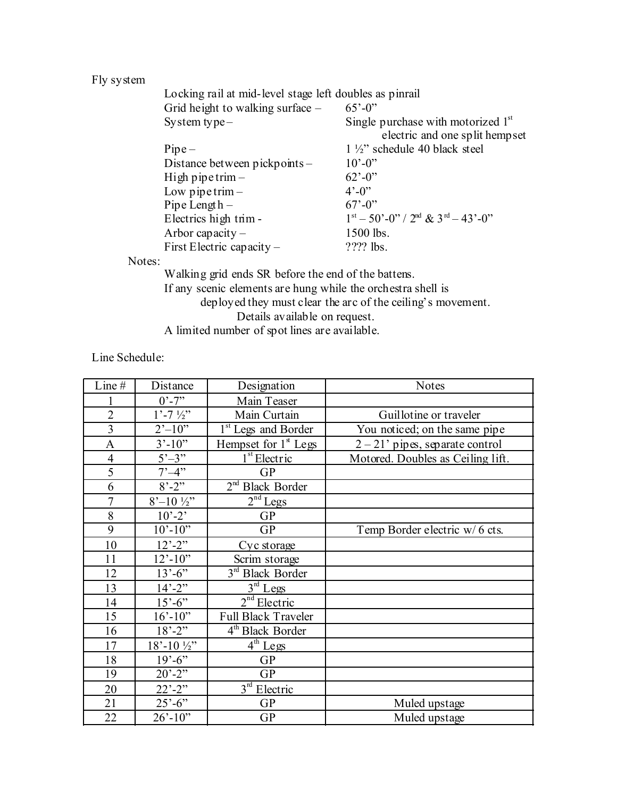Fly system

| Locking rail at mid-level stage left doubles as pinrail |                                                                        |  |  |  |
|---------------------------------------------------------|------------------------------------------------------------------------|--|--|--|
| Grid height to walking surface $-$                      | $65' - 0$ "                                                            |  |  |  |
| System type $-$                                         | Single purchase with motorized $1st$<br>electric and one split hempset |  |  |  |
| $Pipe-$                                                 | $1\frac{1}{2}$ schedule 40 black steel                                 |  |  |  |
| Distance between pickpoints -                           | $10^{\circ} - 0^{\circ}$                                               |  |  |  |
| High pipe trim $-$                                      | $62^{\degree} - 0^{\degree}$                                           |  |  |  |
| Low pipe trim $-$                                       | $4^{\circ} - 0^{\circ}$                                                |  |  |  |
| Pipe Length $-$                                         | $67' - 0$ "                                                            |  |  |  |
| Electrics high trim -                                   | $1st - 50o - 0o$ . $2nd$ & $3rd - 43o - 0o$ .                          |  |  |  |
| Arbor capacity $-$                                      | 1500 lbs.                                                              |  |  |  |
| First Electric capacity $-$                             | ???? lbs.                                                              |  |  |  |
|                                                         |                                                                        |  |  |  |

Notes:

Walking grid ends SR before the end of the battens. If any scenic elements are hung while the orchestra shell is deployed they must clear the arc of the ceiling's movement. Details available on request. A limited number of spot lines are available.

Line Schedule:

| Line#          | Distance                     | Designation                     | <b>Notes</b>                      |
|----------------|------------------------------|---------------------------------|-----------------------------------|
|                | $0' - 7''$                   | Main Teaser                     |                                   |
| $\overline{2}$ | $1'$ -7 $\frac{1}{2}'$       | Main Curtain                    | Guillotine or traveler            |
| $\overline{3}$ | $2^{\prime}$ -10"            | 1 <sup>st</sup> Legs and Border | You noticed; on the same pipe     |
| $\mathbf{A}$   | $3' - 10''$                  | Hempset for $1{st}$ Legs        | $2 - 21'$ pipes, separate control |
| $\overline{4}$ | $5^{\circ}-3^{\circ}$        | $1st$ Electric                  | Motored. Doubles as Ceiling lift. |
| $\overline{5}$ | $7^{\circ} - 4^{\circ}$      | <b>GP</b>                       |                                   |
| 6              | $8^{\circ}$ -2"              | $2nd$ Black Border              |                                   |
| $\overline{7}$ | $8'-10\frac{1}{2}$ "         | $2^{nd}$ Legs                   |                                   |
| 8              | $10^{\circ} - 2^{\circ}$     | <b>GP</b>                       |                                   |
| 9              | $10^{\circ} - 10^{\circ}$    | <b>GP</b>                       | Temp Border electric w/6 cts.     |
| 10             | $12^{\degree} - 2^{\degree}$ | Cyc storage                     |                                   |
| 11             | $12' - 10'$                  | Scrim storage                   |                                   |
| 12             | $13'-6$ "                    | $3rd$ Black Border              |                                   |
| 13             | $14 - 2$ "                   | $3rd$ Legs                      |                                   |
| 14             | $15'-6"$                     | $2nd$ Electric                  |                                   |
| 15             | $16' - 10''$                 | <b>Full Black Traveler</b>      |                                   |
| 16             | $18' - 2''$                  | 4 <sup>th</sup> Black Border    |                                   |
| 17             | $18' - 10'$                  | $4^{\text{th}}$ Legs            |                                   |
| 18             | $19' - 6''$                  | <b>GP</b>                       |                                   |
| 19             | $20^{\circ} - 2^{\circ}$     | <b>GP</b>                       |                                   |
| 20             | $22^{\degree} - 2^{\degree}$ | $3rd$ Electric                  |                                   |
| 21             | $25^{\circ} - 6^{\circ}$     | <b>GP</b>                       | Muled upstage                     |
| 22             | $26' - 10'$                  | <b>GP</b>                       | Muled upstage                     |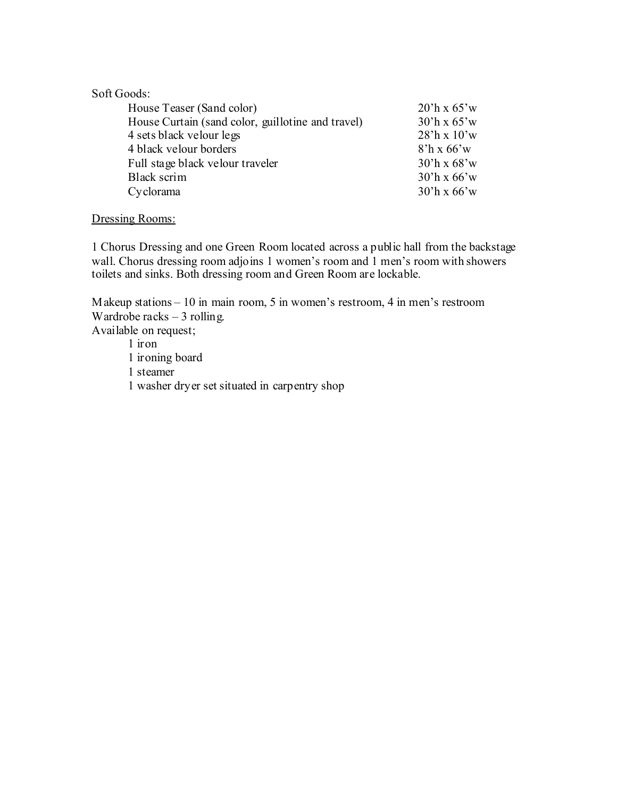# Soft Goods:

| House Teaser (Sand color)                         | $20^{\circ}$ h x 65'w            |
|---------------------------------------------------|----------------------------------|
| House Curtain (sand color, guillotine and travel) | $30^{\circ}$ h x 65 $^{\circ}$ w |
| 4 sets black velour legs                          | $28$ 'h x $10$ 'w                |
| 4 black velour borders                            | $8'h \times 66'w$                |
| Full stage black velour traveler                  | $30^{\circ}$ h x 68 $^{\circ}$ w |
| Black scrim                                       | $30^{\circ}$ h x 66 $^{\circ}$ w |
| Cyclorama                                         | $30^{\circ}$ h x 66 $^{\circ}$ w |

#### Dressing Rooms:

1 Chorus Dressing and one Green Room located across a public hall from the backstage wall. Chorus dressing room adjoins 1 women's room and 1 men's room with showers toilets and sinks. Both dressing room and Green Room are lockable.

Makeup stations – 10 in main room, 5 in women's restroom, 4 in men's restroom Wardrobe racks – 3 rolling. Available on request; 1 iron 1 ironing board 1 steamer 1 washer dryer set situated in carpentry shop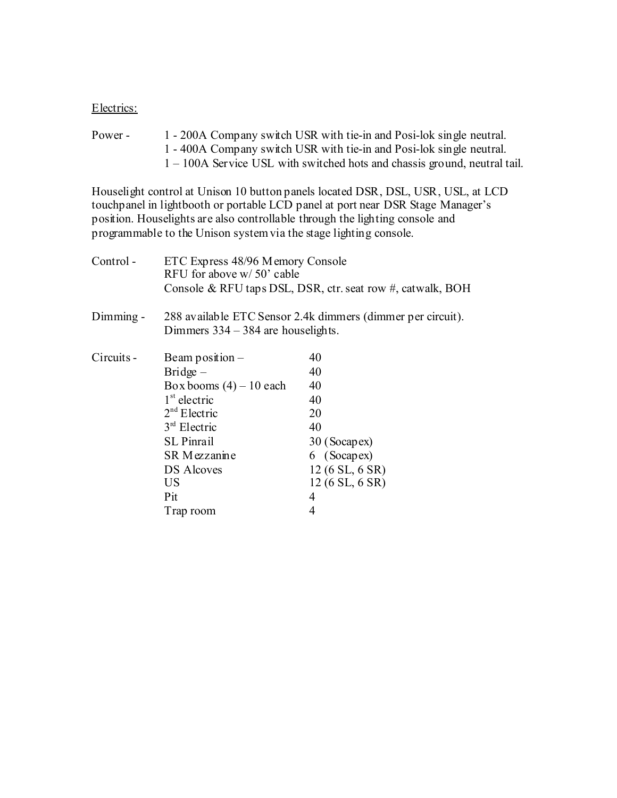#### Electrics:

Power - 1 - 200A Company switch USR with tie-in and Posi-lok single neutral. 1 - 400A Company switch USR with tie-in and Posi-lok single neutral. 1 – 100A Service USL with switched hots and chassis ground, neutral tail.

Houselight control at Unison 10 button panels located DSR, DSL, USR, USL, at LCD touchpanel in lightbooth or portable LCD panel at port near DSR Stage Manager's position. Houselights are also controllable through the lighting console and programmable to the Unison system via the stage lighting console.

| Control -   | ETC Express 48/96 Memory Console<br>RFU for above w/50' cable | Console & RFU taps DSL, DSR, ctr. seat row #, catwalk, BOH  |
|-------------|---------------------------------------------------------------|-------------------------------------------------------------|
| $Dimming -$ | Dimmers $334 - 384$ are houselights.                          | 288 available ETC Sensor 2.4k dimmers (dimmer per circuit). |
| Circuits -  | Beam position $-$                                             | 40                                                          |
|             | $Bridge -$                                                    | 40                                                          |
|             | Box booms $(4) - 10$ each                                     | 40                                                          |
|             | $1st$ electric                                                | 40                                                          |
|             | $2nd$ Electric                                                | 20                                                          |
|             | $3rd$ Electric                                                | 40                                                          |
|             | <b>SL</b> Pinrail                                             | 30 (Socapex)                                                |
|             | SR Mezzanine                                                  | 6 (Socapex)                                                 |
|             | <b>DS Alcoves</b>                                             | 12(6 SL, 6 SR)                                              |
|             | US                                                            | 12 (6 SL, 6 SR)                                             |
|             | Pit                                                           | 4                                                           |
|             | Trap room                                                     | 4                                                           |
|             |                                                               |                                                             |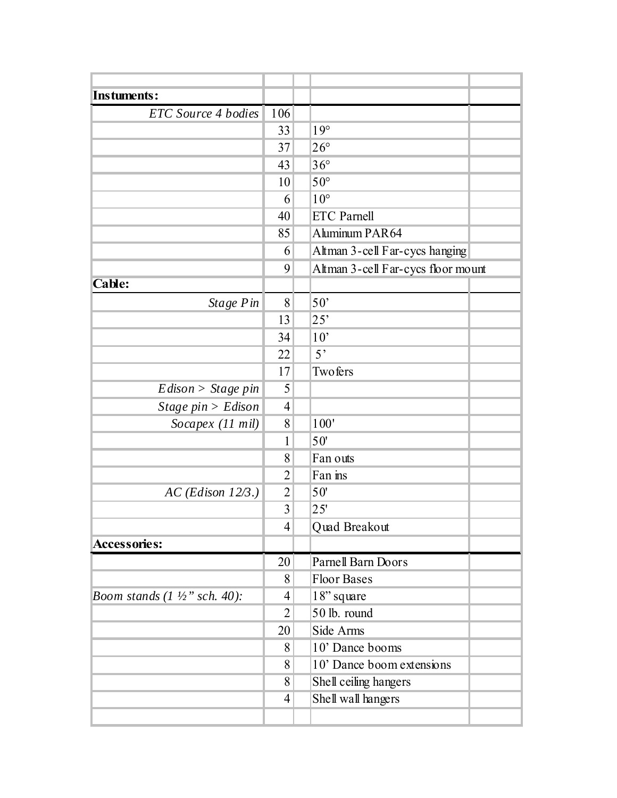| <b>Instuments:</b>                       |                |                                    |  |
|------------------------------------------|----------------|------------------------------------|--|
| ETC Source 4 bodies                      | 106            |                                    |  |
|                                          | 33             | $19^\circ$                         |  |
|                                          | 37             | $26^{\circ}$                       |  |
|                                          | 43             | $36^{\circ}$                       |  |
|                                          | 10             | $50^\circ$                         |  |
|                                          | 6              | $10^{\circ}$                       |  |
|                                          | 40             | <b>ETC</b> Parnell                 |  |
|                                          | 85             | Aluminum PAR64                     |  |
|                                          | 6              | Altman 3-cell Far-cycs hanging     |  |
|                                          | 9              | Altman 3-cell Far-cycs floor mount |  |
| <b>Cable:</b>                            |                |                                    |  |
| Stage Pin                                | 8              | $50^{\circ}$                       |  |
|                                          | 13             | 25'                                |  |
|                                          | 34             | 10'                                |  |
|                                          | 22             | 5 <sup>2</sup>                     |  |
|                                          | 17             | Twofers                            |  |
| $Edison > Stage\ pin$                    | 5              |                                    |  |
| Stage $pin > Edison$                     | 4              |                                    |  |
| Socapex (11 mil)                         | 8              | $100"$                             |  |
|                                          | 1              | 50'                                |  |
|                                          | 8              | Fan outs                           |  |
|                                          | 2              | Fan ins                            |  |
| $AC$ (Edison 12/3.)                      | $\overline{2}$ | 50'                                |  |
|                                          | 3              | 25'                                |  |
|                                          | $\overline{4}$ | Quad Breakout                      |  |
| <b>Accessories:</b>                      |                |                                    |  |
|                                          | 20             | Parnell Barn Doors                 |  |
|                                          | 8              | <b>Floor Bases</b>                 |  |
| Boom stands $(1 \frac{1}{2}$ " sch. 40): | 4              | 18" square                         |  |
|                                          | $\overline{2}$ | 50 lb. round                       |  |
|                                          | 20             | Side Arms                          |  |
|                                          | 8              | 10' Dance booms                    |  |
|                                          | 8              | 10' Dance boom extensions          |  |
|                                          | 8              | Shell ceiling hangers              |  |
|                                          | $\overline{4}$ | Shell wall hangers                 |  |
|                                          |                |                                    |  |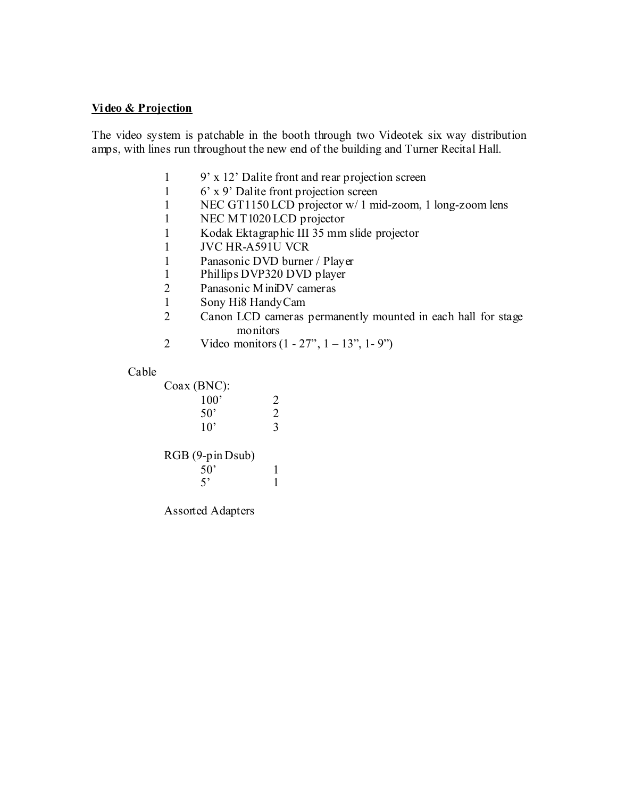# **Vi deo & Projection**

The video system is patchable in the booth through two Videotek six way distribution amps, with lines run throughout the new end of the building and Turner Recital Hall.

- 1 9' x 12' Dalite front and rear projection screen
- 1 6' x 9' Dalite front projection screen
- 1 NEC GT1150 LCD projector w/ 1 mid-zoom, 1 long-zoom lens
- 1 NEC MT1020 LCD projector
- 1 Kodak Ektagraphic III 35 mm slide projector
- 1 JVC HR-A591U VCR
- 1 Panasonic DVD burner / Player
- 1 Phillips DVP320 DVD player
- 2 Panasonic MiniDV cameras
- 1 Sony Hi8 Handy Cam<br>2 Canon LCD cameras
- Canon LCD cameras permanently mounted in each hall for stage monitors
- 2 Video monitors  $(1 27^{\circ}, 1 13^{\circ}, 1 9^{\circ})$

#### Cable

# Coax (BNC):

| $\cdot$ $\cdot$<br>100' | 2 |
|-------------------------|---|
| $50^{\circ}$            | 2 |
| $10^{\circ}$            | 3 |

RGB (9-pin Dsub)

| . .<br>50' | . . |  |
|------------|-----|--|
| 5'         |     |  |

Assorted Adapters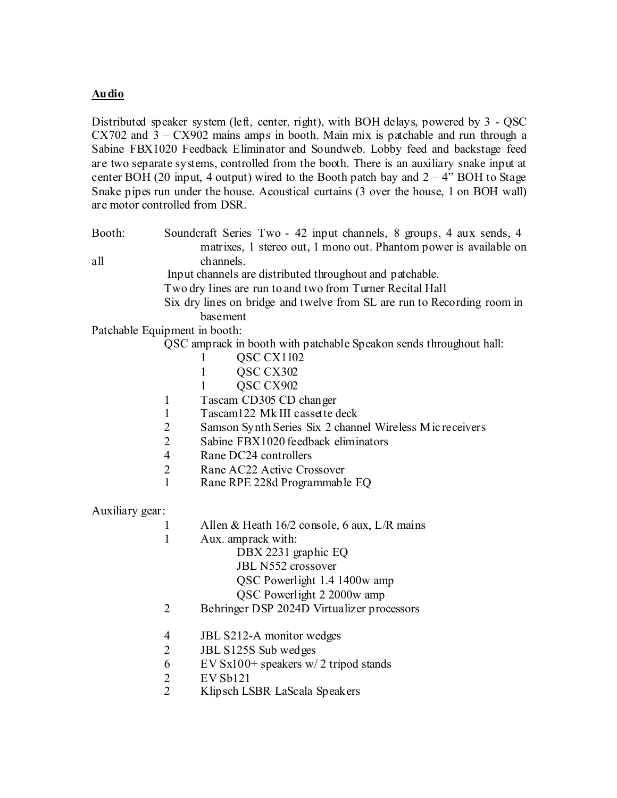# **Audio**

Distributed speaker system (left, center, right), with BOH delays, powered by 3 - QSC  $CX702$  and  $3 - CX902$  mains amps in booth. Main mix is patchable and run through a Sabine FBX1020 Feedback Eliminator and Soundweb. Lobby feed and backstage feed are two separate systems, controlled from the booth. There is an auxiliary snake input at center BOH (20 input, 4 output) wired to the Booth patch bay and  $2 - 4$ " BOH to Stage Snake pipes run under the house. Acoustical curtains (3 over the house, 1 on BOH wall) are motor controlled from DSR.

Booth: Soundcraft Series Two - 42 input channels, 8 groups, 4 aux sends, 4 matrixes, 1 stereo out, 1 mono out. Phantom power is available on all channels.

Input channels are distributed throughout and patchable.

- Two dry lines are run to and two from Turner Recital Hall
- Six dry lines on bridge and twelve from SL are run to Recording room in basement

Patchable Equipment in booth:

QSC amprack in booth with patchable Speakon sends throughout hall:

- 1 QSC CX1102
- 1 QSC CX302
- 1 QSC CX902
- 1 Tascam CD305 CD changer
- 1 Tascam122 Mk III cassette deck
- 2 Samson Synth Series Six 2 channel Wireless Mic receivers
- 2 Sabine FBX1020 feedback eliminators
- 4 Rane DC24 controllers
- 2 Rane AC22 Active Crossover
- 1 Rane RPE 228d Programmable EQ

Auxiliary gear:

- 1 Allen & Heath 16/2 console, 6 aux, L/R mains
- 1 Aux. amprack with:
	- DBX 2231 graphic EQ
		- JBL N552 crossover
		- QSC Powerlight 1.4 1400w amp
	- QSC Powerlight 2 2000w amp
- 2 Behringer DSP 2024D Virtualizer processors
- 4 JBL S212-A monitor wedges
- 2 JBL S125S Sub wedges
- 6 EV Sx100+ speakers  $w/2$  tripod stands
- 2 EV Sb121
- 2 Klipsch LSBR LaScala Speakers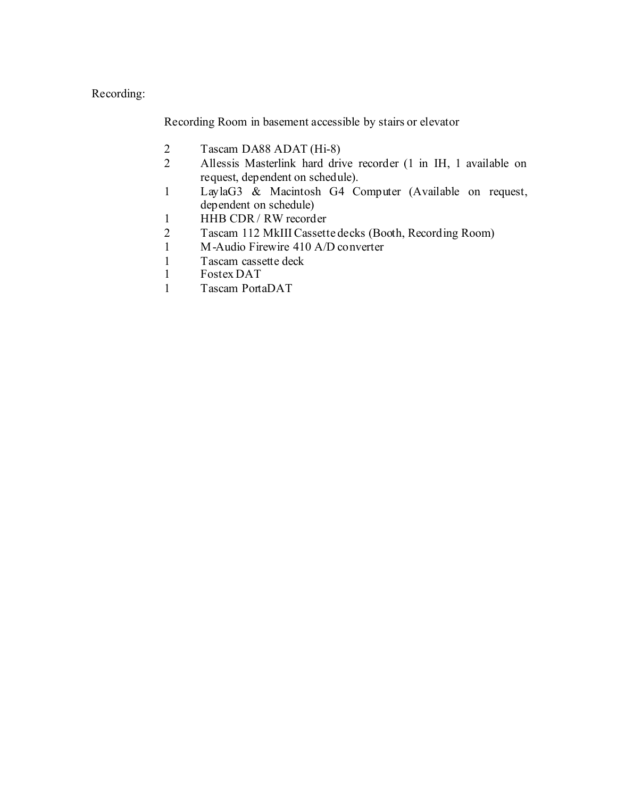# Recording:

Recording Room in basement accessible by stairs or elevator

- 2 Tascam DA88 ADAT (Hi-8)
- 2 Allessis Masterlink hard drive recorder (1 in IH, 1 available on request, dependent on schedule).
- 1 LaylaG3 & Macintosh G4 Computer (Available on request, dependent on schedule)
- 1 HHB CDR / RW recorder
- 2 Tascam 112 MkIII Cassette decks (Booth, Recording Room)
- 1 M-Audio Firewire 410 A/D converter
- 1 Tascam cassette deck<br>1 Fostex DAT
- Fostex DAT
- 1 Tascam PortaDAT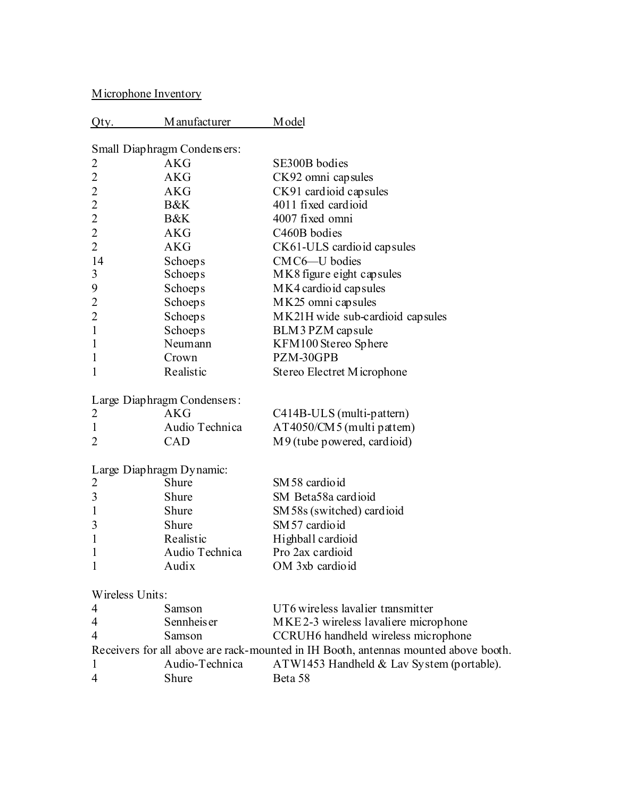Microphone Inventory

| Qty.            | M anufacturer               | M odel                                                                              |
|-----------------|-----------------------------|-------------------------------------------------------------------------------------|
|                 | Small Diaphragm Condensers: |                                                                                     |
| 2               | <b>AKG</b>                  | SE300B bodies                                                                       |
| $\overline{2}$  | AKG                         | CK92 omni capsules                                                                  |
| $\overline{c}$  | AKG                         | CK91 cardioid capsules                                                              |
| $\overline{c}$  | B&K                         | 4011 fixed cardioid                                                                 |
| $\overline{c}$  | B&K                         | 4007 fixed omni                                                                     |
| $\overline{2}$  | <b>AKG</b>                  | C460B bodies                                                                        |
| $\overline{c}$  | <b>AKG</b>                  | CK61-ULS cardioid capsules                                                          |
| 14              | <b>Schoeps</b>              | CMC6-U bodies                                                                       |
| 3               | <b>Schoeps</b>              | MK8 figure eight capsules                                                           |
| 9               | <b>Schoeps</b>              | MK4 cardio id cap sules                                                             |
| $\overline{2}$  | Schoeps                     | MK25 omni capsules                                                                  |
| $\overline{c}$  | <b>Schoeps</b>              | MK21H wide sub-cardioid capsules                                                    |
| $\mathbf{1}$    | <b>Schoeps</b>              | BLM3 PZM capsule                                                                    |
| $\mathbf{1}$    | Neumann                     | KFM100 Stereo Sphere                                                                |
| $\mathbf{1}$    | Crown                       | PZM-30GPB                                                                           |
| 1               | Realistic                   | Stereo Electret Microphone                                                          |
|                 | Large Diaphragm Condensers: |                                                                                     |
| 2               | <b>AKG</b>                  | C414B-ULS (multi-pattern)                                                           |
| $\mathbf{1}$    | Audio Technica              | AT4050/CM5 (multi pattem)                                                           |
| 2               | CAD                         | M9 (tube powered, cardioid)                                                         |
|                 | Large Diaphragm Dynamic:    |                                                                                     |
| 2               | Shure                       | SM 58 cardioid                                                                      |
| 3               | Shure                       | SM Beta58a cardioid                                                                 |
| $\mathbf{1}$    | Shure                       | SM 58s (switched) cardioid                                                          |
| 3               | Shure                       | SM 57 cardioid                                                                      |
| $\mathbf{1}$    | Realistic                   | Highball cardioid                                                                   |
| $\mathbf{1}$    | Audio Technica              | Pro 2ax cardioid                                                                    |
| 1               | Audix                       | OM 3xb cardioid                                                                     |
| Wireless Units: |                             |                                                                                     |
| 4               | Samson                      | UT6 wireless lavalier transmitter                                                   |
| $\overline{4}$  | Sennheis er                 | MKE2-3 wireless lavaliere microphone                                                |
| $\overline{4}$  | Samson                      | CCRUH6 handheld wireless microphone                                                 |
|                 |                             | Receivers for all above are rack-mounted in IH Booth, antennas mounted above booth. |
| $\mathbf{1}$    | Audio-Technica              | ATW1453 Handheld & Lav System (portable).                                           |
| 4               | Shure                       | Beta 58                                                                             |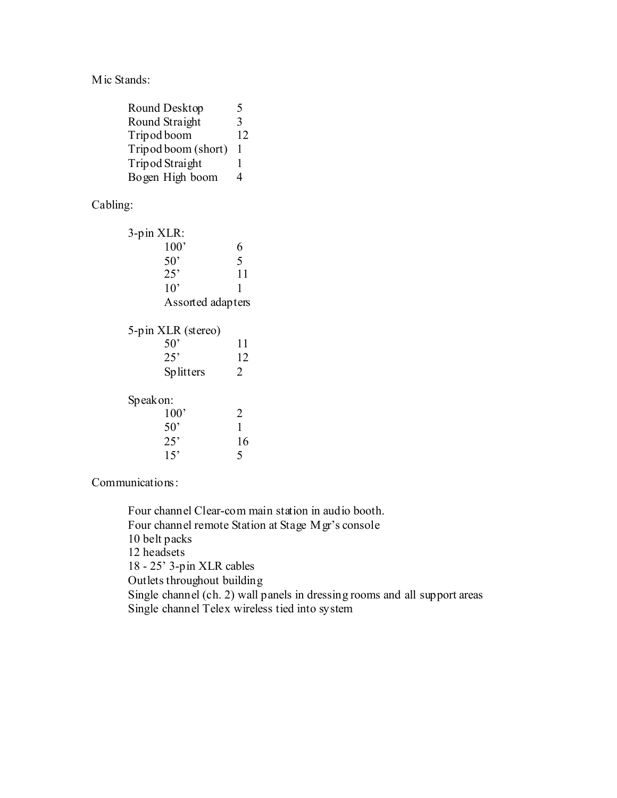Mic Stands:

| Round Desktop       | ৲  |
|---------------------|----|
| Round Straight      | 3  |
| Tripod boom         | 12 |
| Tripod boom (short) | 1  |
| Tripod Straight     | 1  |
| Bogen High boom     | 1  |

# Cabling:

| 3-pin XLR:                     |    |
|--------------------------------|----|
| 100'                           | 6  |
| 50 <sup>°</sup>                | 5  |
| 25'                            | 11 |
| $10^{\circ}$                   | 1  |
| Assorted adapters              |    |
| 5-pin XLR (stereo)             |    |
| 50'                            | 11 |
| 25'                            | 12 |
| Splitters                      | 2  |
| $C_{\alpha\alpha\alpha}$ order |    |

| Speak on.    |    |
|--------------|----|
| 100'         | 2  |
| $50^{\circ}$ |    |
| $25^{\circ}$ | 16 |
| 15'          | 5  |
|              |    |

Communications:

Four channel Clear-com main station in audio booth. Four channel remote Station at Stage Mgr's console 10 belt packs 12 headsets 18 - 25' 3-pin XLR cables Outlets throughout building Single channel (ch. 2) wall panels in dressing rooms and all support areas Single channel Telex wireless tied into system